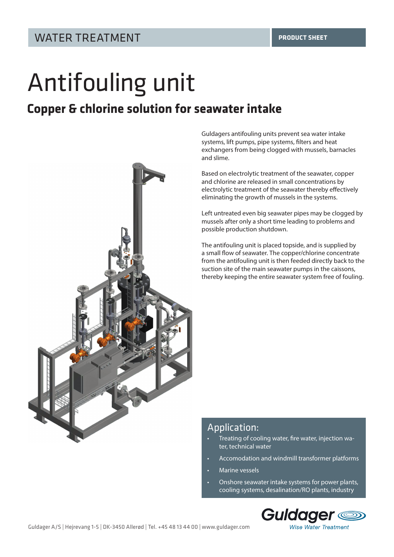# Antifouling unit

# **Copper & chlorine solution for seawater intake**



Guldagers antifouling units prevent sea water intake systems, lift pumps, pipe systems, filters and heat exchangers from being clogged with mussels, barnacles and slime.

Based on electrolytic treatment of the seawater, copper and chlorine are released in small concentrations by electrolytic treatment of the seawater thereby effectively eliminating the growth of mussels in the systems.

Left untreated even big seawater pipes may be clogged by mussels after only a short time leading to problems and possible production shutdown.

The antifouling unit is placed topside, and is supplied by a small flow of seawater. The copper/chlorine concentrate from the antifouling unit is then feeded directly back to the suction site of the main seawater pumps in the caissons, thereby keeping the entire seawater system free of fouling.

#### Application:

- Treating of cooling water, fire water, injection water, technical water
- Accomodation and windmill transformer platforms
- Marine vessels
- Onshore seawater intake systems for power plants, cooling systems, desalination/RO plants, industry